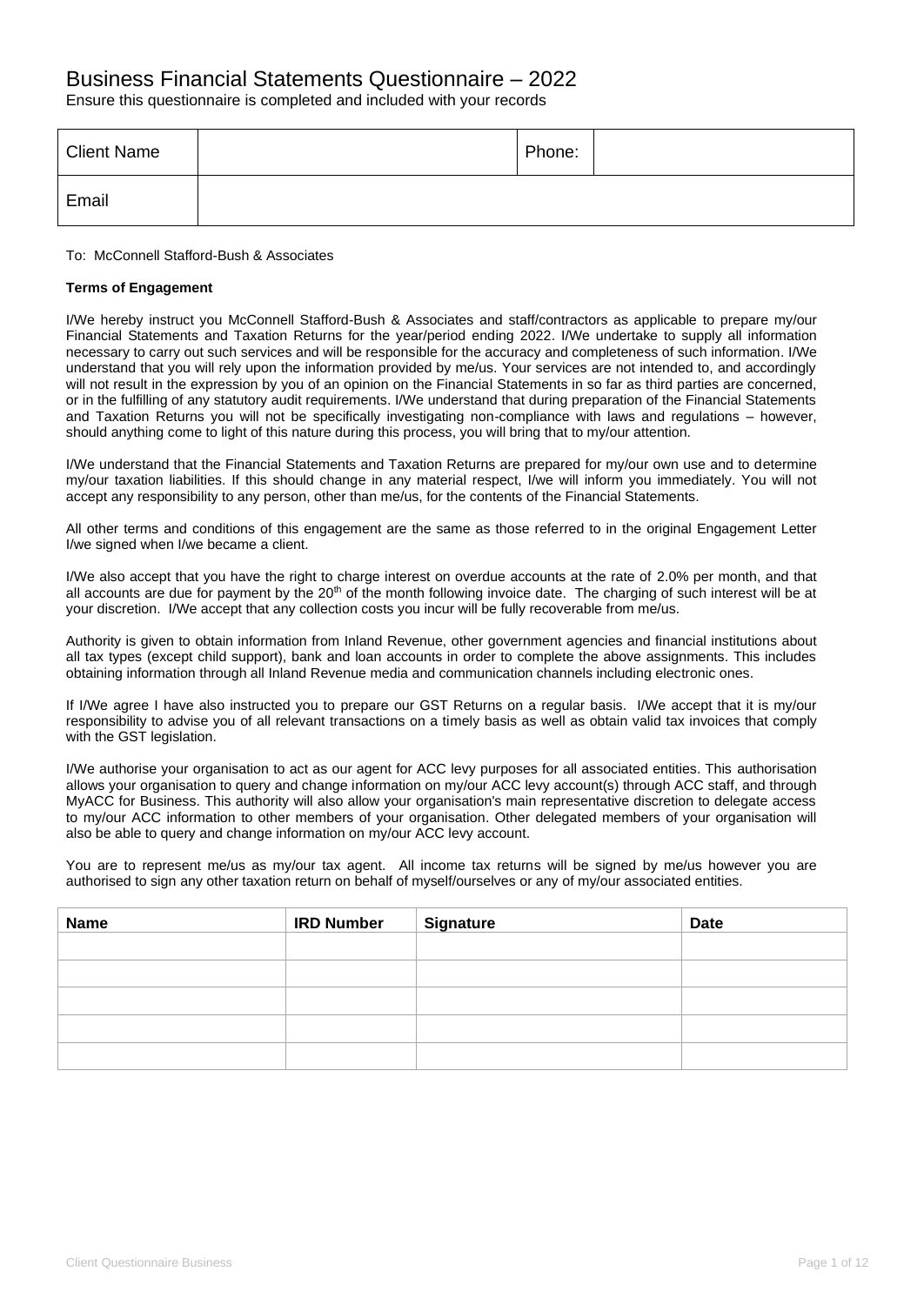### Business Financial Statements Questionnaire – 2022

Ensure this questionnaire is completed and included with your records

| <b>Client Name</b> | Phone: |  |
|--------------------|--------|--|
| Email              |        |  |

#### To: McConnell Stafford-Bush & Associates

### **Terms of Engagement**

I/We hereby instruct you McConnell Stafford-Bush & Associates and staff/contractors as applicable to prepare my/our Financial Statements and Taxation Returns for the year/period ending 2022. I/We undertake to supply all information necessary to carry out such services and will be responsible for the accuracy and completeness of such information. I/We understand that you will rely upon the information provided by me/us. Your services are not intended to, and accordingly will not result in the expression by you of an opinion on the Financial Statements in so far as third parties are concerned, or in the fulfilling of any statutory audit requirements. I/We understand that during preparation of the Financial Statements and Taxation Returns you will not be specifically investigating non-compliance with laws and regulations – however, should anything come to light of this nature during this process, you will bring that to my/our attention.

I/We understand that the Financial Statements and Taxation Returns are prepared for my/our own use and to determine my/our taxation liabilities. If this should change in any material respect, I/we will inform you immediately. You will not accept any responsibility to any person, other than me/us, for the contents of the Financial Statements.

All other terms and conditions of this engagement are the same as those referred to in the original Engagement Letter I/we signed when I/we became a client.

I/We also accept that you have the right to charge interest on overdue accounts at the rate of 2.0% per month, and that all accounts are due for payment by the  $20<sup>th</sup>$  of the month following invoice date. The charging of such interest will be at your discretion. I/We accept that any collection costs you incur will be fully recoverable from me/us.

Authority is given to obtain information from Inland Revenue, other government agencies and financial institutions about all tax types (except child support), bank and loan accounts in order to complete the above assignments. This includes obtaining information through all Inland Revenue media and communication channels including electronic ones.

If I/We agree I have also instructed you to prepare our GST Returns on a regular basis. I/We accept that it is my/our responsibility to advise you of all relevant transactions on a timely basis as well as obtain valid tax invoices that comply with the GST legislation.

I/We authorise your organisation to act as our agent for ACC levy purposes for all associated entities. This authorisation allows your organisation to query and change information on my/our ACC levy account(s) through ACC staff, and through MyACC for Business. This authority will also allow your organisation's main representative discretion to delegate access to my/our ACC information to other members of your organisation. Other delegated members of your organisation will also be able to query and change information on my/our ACC levy account.

You are to represent me/us as my/our tax agent. All income tax returns will be signed by me/us however you are authorised to sign any other taxation return on behalf of myself/ourselves or any of my/our associated entities.

| <b>Name</b> | <b>IRD Number</b> | <b>Signature</b> | <b>Date</b> |
|-------------|-------------------|------------------|-------------|
|             |                   |                  |             |
|             |                   |                  |             |
|             |                   |                  |             |
|             |                   |                  |             |
|             |                   |                  |             |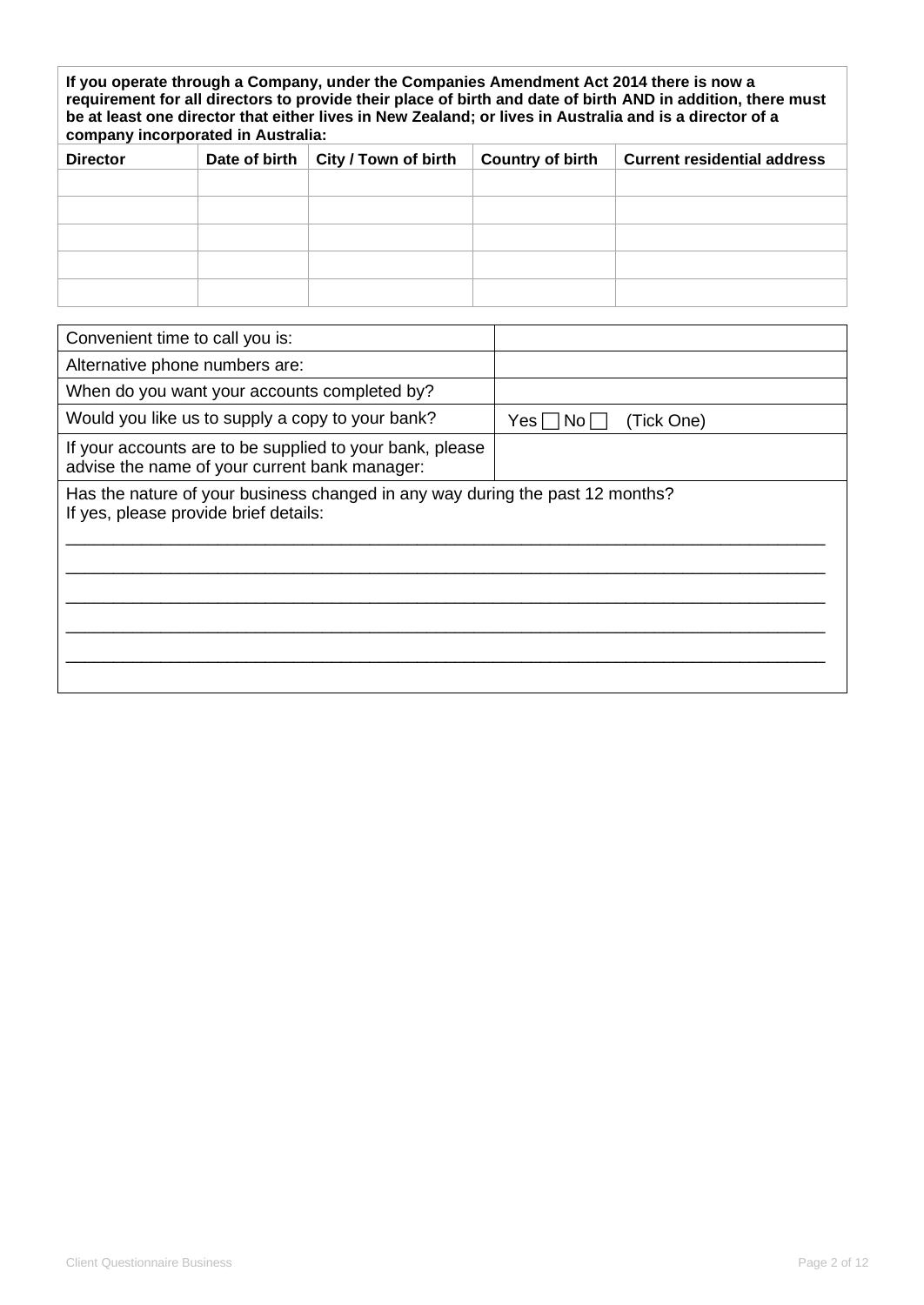| If you operate through a Company, under the Companies Amendment Act 2014 there is now a<br>requirement for all directors to provide their place of birth and date of birth AND in addition, there must<br>be at least one director that either lives in New Zealand; or lives in Australia and is a director of a<br>company incorporated in Australia: |               |                      |                         |                                    |  |
|---------------------------------------------------------------------------------------------------------------------------------------------------------------------------------------------------------------------------------------------------------------------------------------------------------------------------------------------------------|---------------|----------------------|-------------------------|------------------------------------|--|
| <b>Director</b>                                                                                                                                                                                                                                                                                                                                         | Date of birth | City / Town of birth | <b>Country of birth</b> | <b>Current residential address</b> |  |
|                                                                                                                                                                                                                                                                                                                                                         |               |                      |                         |                                    |  |
|                                                                                                                                                                                                                                                                                                                                                         |               |                      |                         |                                    |  |
|                                                                                                                                                                                                                                                                                                                                                         |               |                      |                         |                                    |  |
|                                                                                                                                                                                                                                                                                                                                                         |               |                      |                         |                                    |  |
|                                                                                                                                                                                                                                                                                                                                                         |               |                      |                         |                                    |  |

| Convenient time to call you is:                                                                                        |                            |
|------------------------------------------------------------------------------------------------------------------------|----------------------------|
| Alternative phone numbers are:                                                                                         |                            |
| When do you want your accounts completed by?                                                                           |                            |
| Would you like us to supply a copy to your bank?                                                                       | (Tick One)<br>Yes⊺<br>No l |
| If your accounts are to be supplied to your bank, please<br>advise the name of your current bank manager:              |                            |
| Has the nature of your business changed in any way during the past 12 months?<br>If yes, please provide brief details: |                            |
|                                                                                                                        |                            |
|                                                                                                                        |                            |
|                                                                                                                        |                            |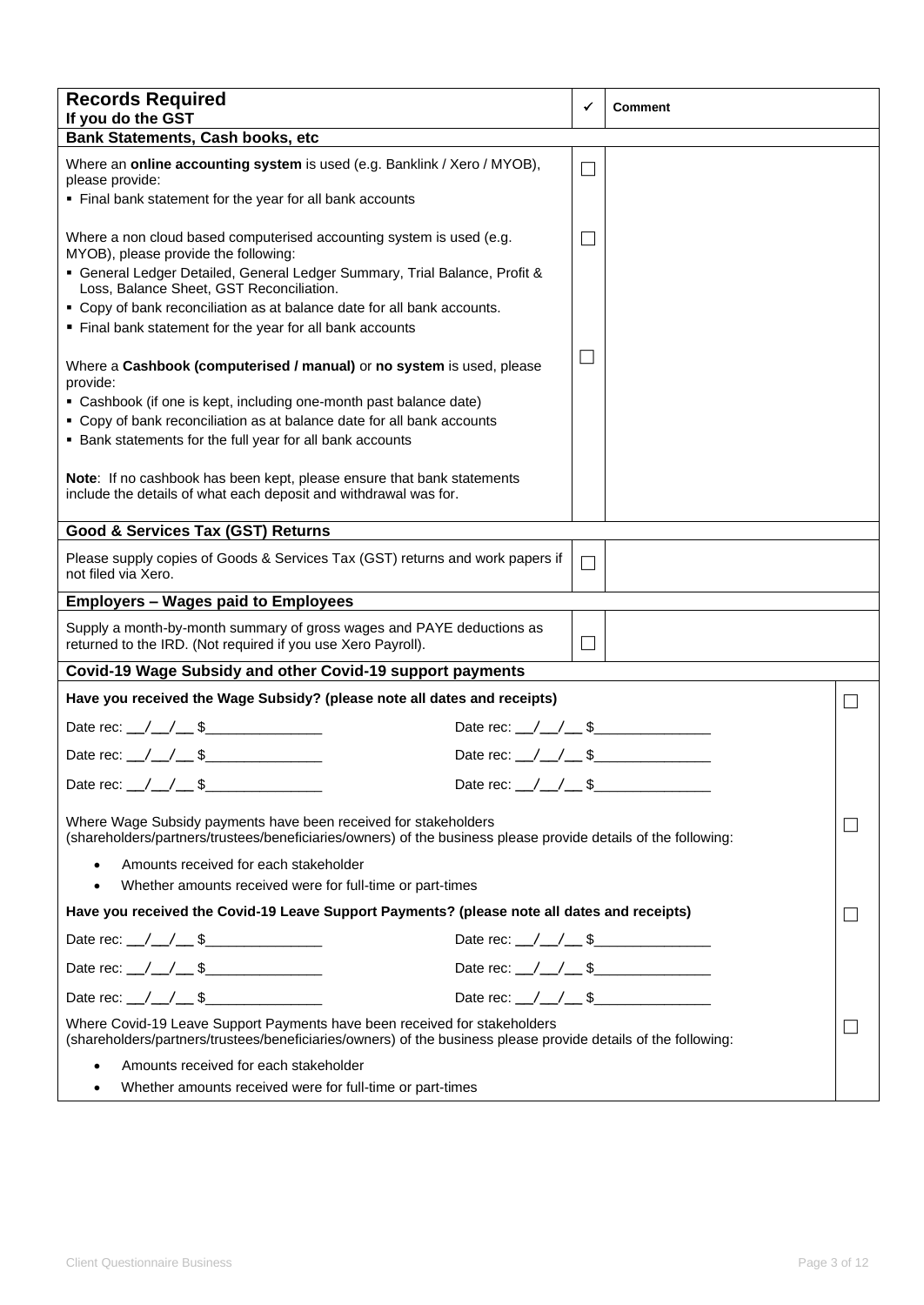| <b>Records Required</b><br>If you do the GST                                                                                                                                                |                                         | ✓                 | <b>Comment</b> |  |
|---------------------------------------------------------------------------------------------------------------------------------------------------------------------------------------------|-----------------------------------------|-------------------|----------------|--|
| <b>Bank Statements, Cash books, etc</b>                                                                                                                                                     |                                         |                   |                |  |
| Where an online accounting system is used (e.g. Banklink / Xero / MYOB),<br>please provide:                                                                                                 |                                         | $\vert \ \ \vert$ |                |  |
| • Final bank statement for the year for all bank accounts                                                                                                                                   |                                         |                   |                |  |
| Where a non cloud based computerised accounting system is used (e.g.<br>MYOB), please provide the following:                                                                                |                                         | $\mathcal{L}$     |                |  |
| • General Ledger Detailed, General Ledger Summary, Trial Balance, Profit &<br>Loss, Balance Sheet, GST Reconciliation.                                                                      |                                         |                   |                |  |
| • Copy of bank reconciliation as at balance date for all bank accounts.                                                                                                                     |                                         |                   |                |  |
| Final bank statement for the year for all bank accounts                                                                                                                                     |                                         |                   |                |  |
| Where a Cashbook (computerised / manual) or no system is used, please<br>provide:                                                                                                           |                                         | $\Box$            |                |  |
| • Cashbook (if one is kept, including one-month past balance date)                                                                                                                          |                                         |                   |                |  |
| • Copy of bank reconciliation as at balance date for all bank accounts                                                                                                                      |                                         |                   |                |  |
| • Bank statements for the full year for all bank accounts                                                                                                                                   |                                         |                   |                |  |
| Note: If no cashbook has been kept, please ensure that bank statements<br>include the details of what each deposit and withdrawal was for.                                                  |                                         |                   |                |  |
| <b>Good &amp; Services Tax (GST) Returns</b>                                                                                                                                                |                                         |                   |                |  |
| Please supply copies of Goods & Services Tax (GST) returns and work papers if<br>not filed via Xero.                                                                                        |                                         | $\Box$            |                |  |
| <b>Employers - Wages paid to Employees</b>                                                                                                                                                  |                                         |                   |                |  |
| Supply a month-by-month summary of gross wages and PAYE deductions as<br>returned to the IRD. (Not required if you use Xero Payroll).                                                       |                                         | $\blacksquare$    |                |  |
| Covid-19 Wage Subsidy and other Covid-19 support payments                                                                                                                                   |                                         |                   |                |  |
| Have you received the Wage Subsidy? (please note all dates and receipts)                                                                                                                    |                                         |                   |                |  |
| Date rec: \_/ \_/ \_ \$                                                                                                                                                                     | Date rec: $\angle$ / $\angle$ \$        |                   |                |  |
|                                                                                                                                                                                             | Date rec: $\angle$ / $\angle$ \$        |                   |                |  |
| Date rec: $\angle$ / $\angle$ \$                                                                                                                                                            | Date rec: $/ / /$ \$                    |                   |                |  |
| Where Wage Subsidy payments have been received for stakeholders<br>(shareholders/partners/trustees/beneficiaries/owners) of the business please provide details of the following:           |                                         |                   |                |  |
| Amounts received for each stakeholder                                                                                                                                                       |                                         |                   |                |  |
| Whether amounts received were for full-time or part-times<br>٠                                                                                                                              |                                         |                   |                |  |
| Have you received the Covid-19 Leave Support Payments? (please note all dates and receipts)                                                                                                 |                                         |                   |                |  |
| Date rec: \_/ \_/ \_ \$                                                                                                                                                                     | Date rec: $\angle$ $\angle$ $\angle$ \$ |                   |                |  |
|                                                                                                                                                                                             | Date rec: $\angle$ $\angle$ $\angle$ \$ |                   |                |  |
| Date rec: \_/ \_/ \__ \$\_______________                                                                                                                                                    | Date rec: /_/_/__\$                     |                   |                |  |
| Where Covid-19 Leave Support Payments have been received for stakeholders<br>(shareholders/partners/trustees/beneficiaries/owners) of the business please provide details of the following: |                                         |                   |                |  |
| Amounts received for each stakeholder                                                                                                                                                       |                                         |                   |                |  |
| Whether amounts received were for full-time or part-times<br>٠                                                                                                                              |                                         |                   |                |  |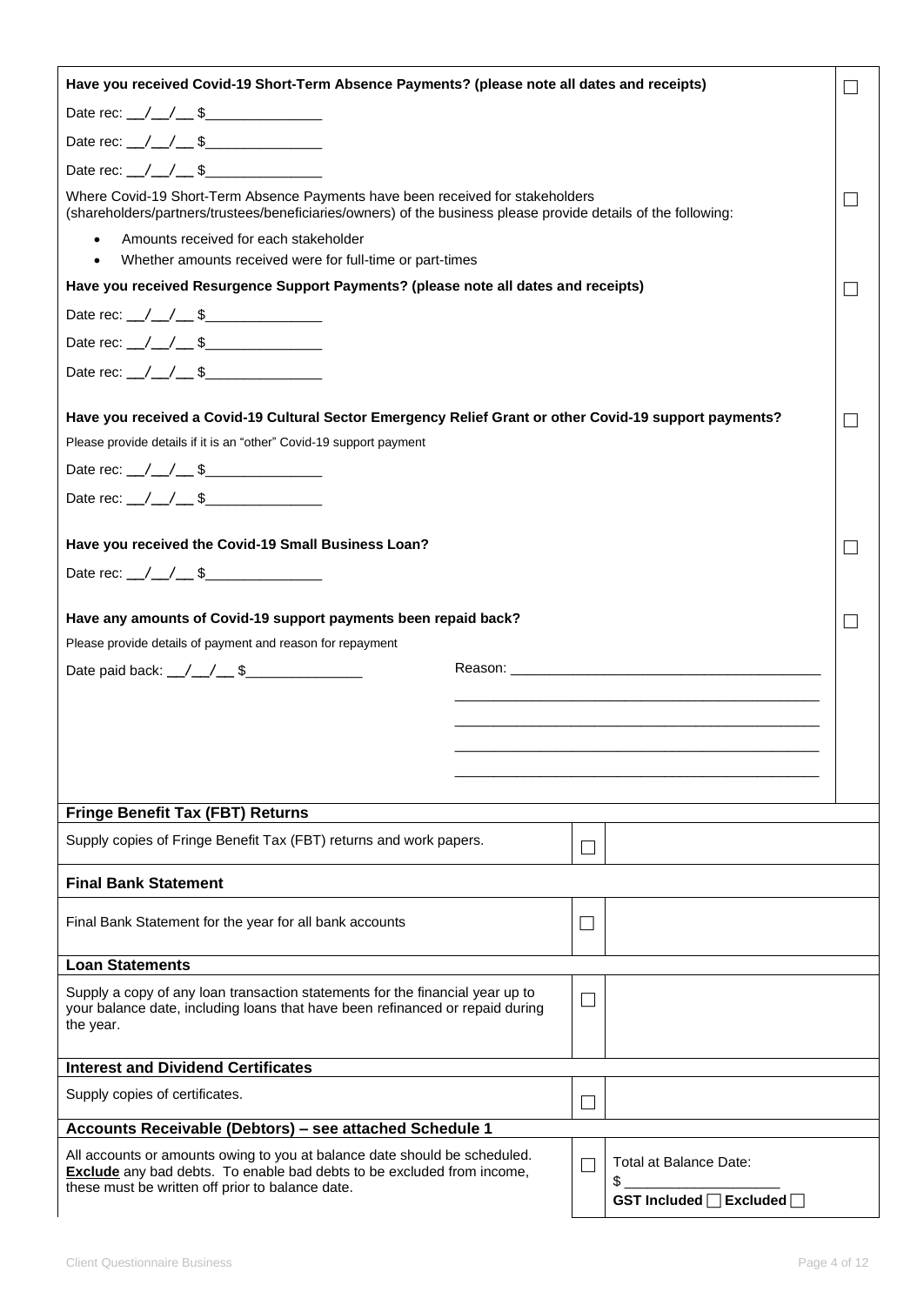| Have you received Covid-19 Short-Term Absence Payments? (please note all dates and receipts)                                                                                                     |                          |                                                                                                                                                                                                                                |  |
|--------------------------------------------------------------------------------------------------------------------------------------------------------------------------------------------------|--------------------------|--------------------------------------------------------------------------------------------------------------------------------------------------------------------------------------------------------------------------------|--|
| Date rec: $\angle$ $\angle$ $\angle$ \$                                                                                                                                                          |                          |                                                                                                                                                                                                                                |  |
| Date rec: $\angle$ $\angle$ $\angle$ \$                                                                                                                                                          |                          |                                                                                                                                                                                                                                |  |
| Date rec: $\angle$ / $\angle$ \$                                                                                                                                                                 |                          |                                                                                                                                                                                                                                |  |
| Where Covid-19 Short-Term Absence Payments have been received for stakeholders<br>(shareholders/partners/trustees/beneficiaries/owners) of the business please provide details of the following: |                          |                                                                                                                                                                                                                                |  |
| Amounts received for each stakeholder<br>$\bullet$<br>Whether amounts received were for full-time or part-times                                                                                  |                          |                                                                                                                                                                                                                                |  |
| Have you received Resurgence Support Payments? (please note all dates and receipts)                                                                                                              |                          |                                                                                                                                                                                                                                |  |
| Date rec: $\angle$ $\angle$ $\angle$ \$                                                                                                                                                          |                          |                                                                                                                                                                                                                                |  |
|                                                                                                                                                                                                  |                          |                                                                                                                                                                                                                                |  |
|                                                                                                                                                                                                  |                          |                                                                                                                                                                                                                                |  |
| Have you received a Covid-19 Cultural Sector Emergency Relief Grant or other Covid-19 support payments?                                                                                          |                          |                                                                                                                                                                                                                                |  |
| Please provide details if it is an "other" Covid-19 support payment                                                                                                                              |                          |                                                                                                                                                                                                                                |  |
| Date rec: $\angle$ / $\angle$ \$                                                                                                                                                                 |                          |                                                                                                                                                                                                                                |  |
| Date rec: $\angle$ / $\angle$ \$                                                                                                                                                                 |                          |                                                                                                                                                                                                                                |  |
| Have you received the Covid-19 Small Business Loan?                                                                                                                                              |                          |                                                                                                                                                                                                                                |  |
| Date rec: $\angle$ / $\angle$ \$                                                                                                                                                                 |                          |                                                                                                                                                                                                                                |  |
| Have any amounts of Covid-19 support payments been repaid back?<br>Please provide details of payment and reason for repayment                                                                    |                          |                                                                                                                                                                                                                                |  |
| Date paid back: $\_\,\_\,\_\,\_\,\$                                                                                                                                                              |                          | Reason: Network and the state of the state of the state of the state of the state of the state of the state of the state of the state of the state of the state of the state of the state of the state of the state of the sta |  |
|                                                                                                                                                                                                  |                          |                                                                                                                                                                                                                                |  |
|                                                                                                                                                                                                  |                          |                                                                                                                                                                                                                                |  |
|                                                                                                                                                                                                  |                          |                                                                                                                                                                                                                                |  |
|                                                                                                                                                                                                  |                          |                                                                                                                                                                                                                                |  |
| <b>Fringe Benefit Tax (FBT) Returns</b>                                                                                                                                                          |                          |                                                                                                                                                                                                                                |  |
| Supply copies of Fringe Benefit Tax (FBT) returns and work papers.                                                                                                                               | L                        |                                                                                                                                                                                                                                |  |
| <b>Final Bank Statement</b>                                                                                                                                                                      |                          |                                                                                                                                                                                                                                |  |
| Final Bank Statement for the year for all bank accounts                                                                                                                                          | $\overline{\phantom{a}}$ |                                                                                                                                                                                                                                |  |
| <b>Loan Statements</b>                                                                                                                                                                           |                          |                                                                                                                                                                                                                                |  |
| Supply a copy of any loan transaction statements for the financial year up to<br>your balance date, including loans that have been refinanced or repaid during<br>the year.                      | $\Box$                   |                                                                                                                                                                                                                                |  |
| <b>Interest and Dividend Certificates</b>                                                                                                                                                        |                          |                                                                                                                                                                                                                                |  |
| Supply copies of certificates.                                                                                                                                                                   | L                        |                                                                                                                                                                                                                                |  |
| Accounts Receivable (Debtors) - see attached Schedule 1                                                                                                                                          |                          |                                                                                                                                                                                                                                |  |
| All accounts or amounts owing to you at balance date should be scheduled.<br><b>Exclude</b> any bad debts. To enable bad debts to be excluded from income,                                       | ×.                       | Total at Balance Date:<br>\$                                                                                                                                                                                                   |  |
| these must be written off prior to balance date.                                                                                                                                                 |                          | GST Included □ Excluded □                                                                                                                                                                                                      |  |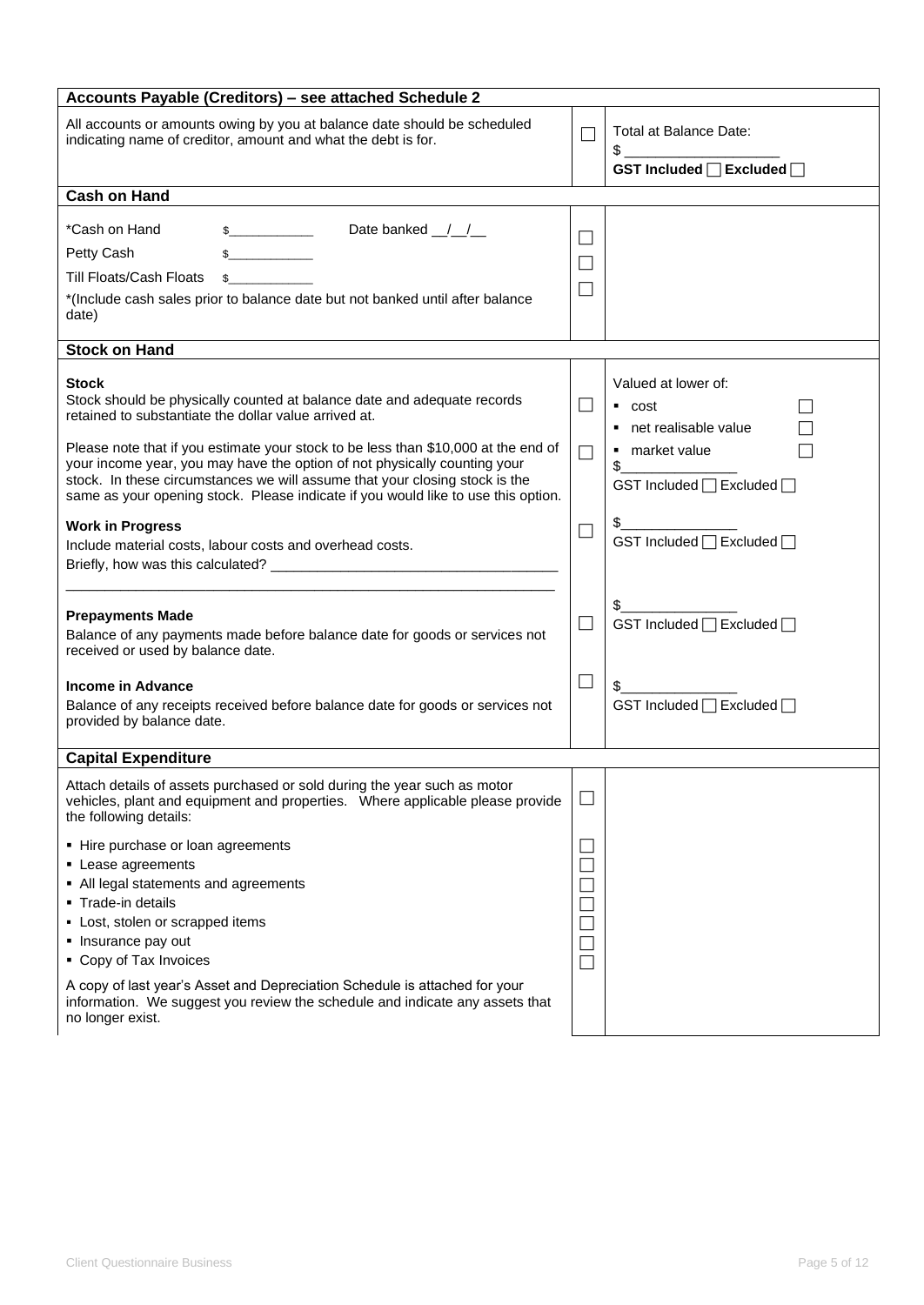| Accounts Payable (Creditors) - see attached Schedule 2                                                                                                                                                                                                                                                                                                                                         |                                       |                                                                                                  |
|------------------------------------------------------------------------------------------------------------------------------------------------------------------------------------------------------------------------------------------------------------------------------------------------------------------------------------------------------------------------------------------------|---------------------------------------|--------------------------------------------------------------------------------------------------|
| All accounts or amounts owing by you at balance date should be scheduled<br>indicating name of creditor, amount and what the debt is for.                                                                                                                                                                                                                                                      | $\Box$                                | Total at Balance Date:<br>$\mathsf{s}$<br>GST Included □ Excluded □                              |
| <b>Cash on Hand</b>                                                                                                                                                                                                                                                                                                                                                                            |                                       |                                                                                                  |
| *Cash on Hand<br>Date banked __/__/__<br>$\mathbb{S}$<br>Petty Cash<br><b>Till Floats/Cash Floats</b><br>\$<br>*(Include cash sales prior to balance date but not banked until after balance<br>date)                                                                                                                                                                                          | $\Box$<br>$\vert \ \ \vert$<br>$\Box$ |                                                                                                  |
| <b>Stock on Hand</b>                                                                                                                                                                                                                                                                                                                                                                           |                                       |                                                                                                  |
| Stock<br>Stock should be physically counted at balance date and adequate records<br>retained to substantiate the dollar value arrived at.<br>Please note that if you estimate your stock to be less than \$10,000 at the end of                                                                                                                                                                | $\Box$<br>$\Box$                      | Valued at lower of:<br>$\overline{\phantom{a}}$ cost<br>• net realisable value<br>■ market value |
| your income year, you may have the option of not physically counting your<br>stock. In these circumstances we will assume that your closing stock is the<br>same as your opening stock. Please indicate if you would like to use this option.                                                                                                                                                  |                                       | \$<br>GST Included □ Excluded □                                                                  |
| <b>Work in Progress</b><br>Include material costs, labour costs and overhead costs.                                                                                                                                                                                                                                                                                                            | $\Box$                                | GST Included □ Excluded □                                                                        |
| <b>Prepayments Made</b><br>Balance of any payments made before balance date for goods or services not<br>received or used by balance date.                                                                                                                                                                                                                                                     | $\Box$                                | GST Included □ Excluded □                                                                        |
| Income in Advance<br>Balance of any receipts received before balance date for goods or services not<br>provided by balance date.                                                                                                                                                                                                                                                               | $\Box$                                | GST Included □ Excluded □                                                                        |
| <b>Capital Expenditure</b>                                                                                                                                                                                                                                                                                                                                                                     |                                       |                                                                                                  |
| Attach details of assets purchased or sold during the year such as motor<br>vehicles, plant and equipment and properties.  Where applicable please provide<br>the following details:                                                                                                                                                                                                           |                                       |                                                                                                  |
| • Hire purchase or loan agreements<br>• Lease agreements<br>• All legal statements and agreements<br>• Trade-in details<br>- Lost, stolen or scrapped items<br>• Insurance pay out<br>• Copy of Tax Invoices<br>A copy of last year's Asset and Depreciation Schedule is attached for your<br>information. We suggest you review the schedule and indicate any assets that<br>no longer exist. | M.                                    |                                                                                                  |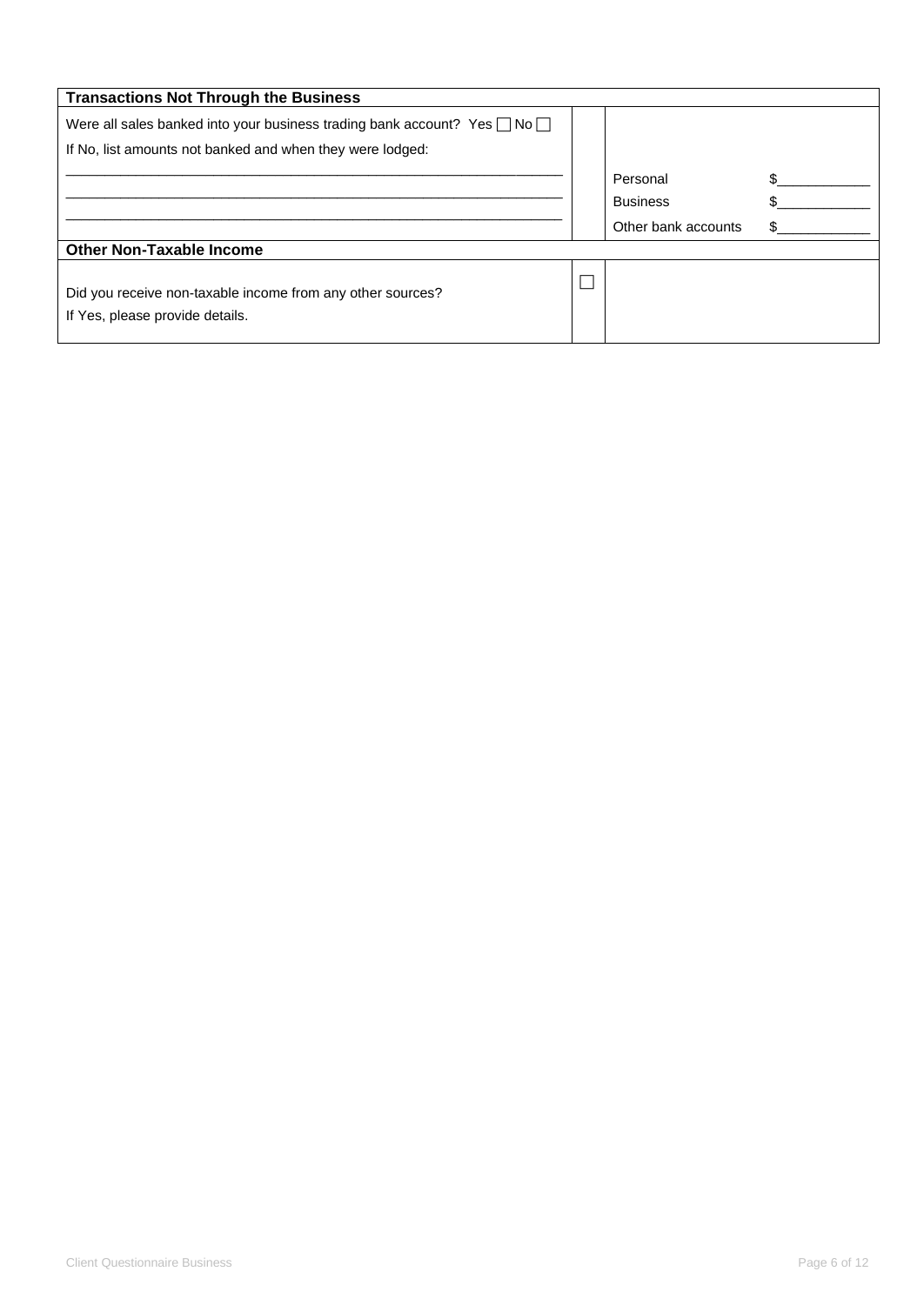| <b>Transactions Not Through the Business</b>                                                  |                     |  |
|-----------------------------------------------------------------------------------------------|---------------------|--|
| Were all sales banked into your business trading bank account? Yes $\Box$ No $\Box$           |                     |  |
| If No, list amounts not banked and when they were lodged:                                     |                     |  |
|                                                                                               | Personal            |  |
|                                                                                               | <b>Business</b>     |  |
|                                                                                               | Other bank accounts |  |
| <b>Other Non-Taxable Income</b>                                                               |                     |  |
| Did you receive non-taxable income from any other sources?<br>If Yes, please provide details. |                     |  |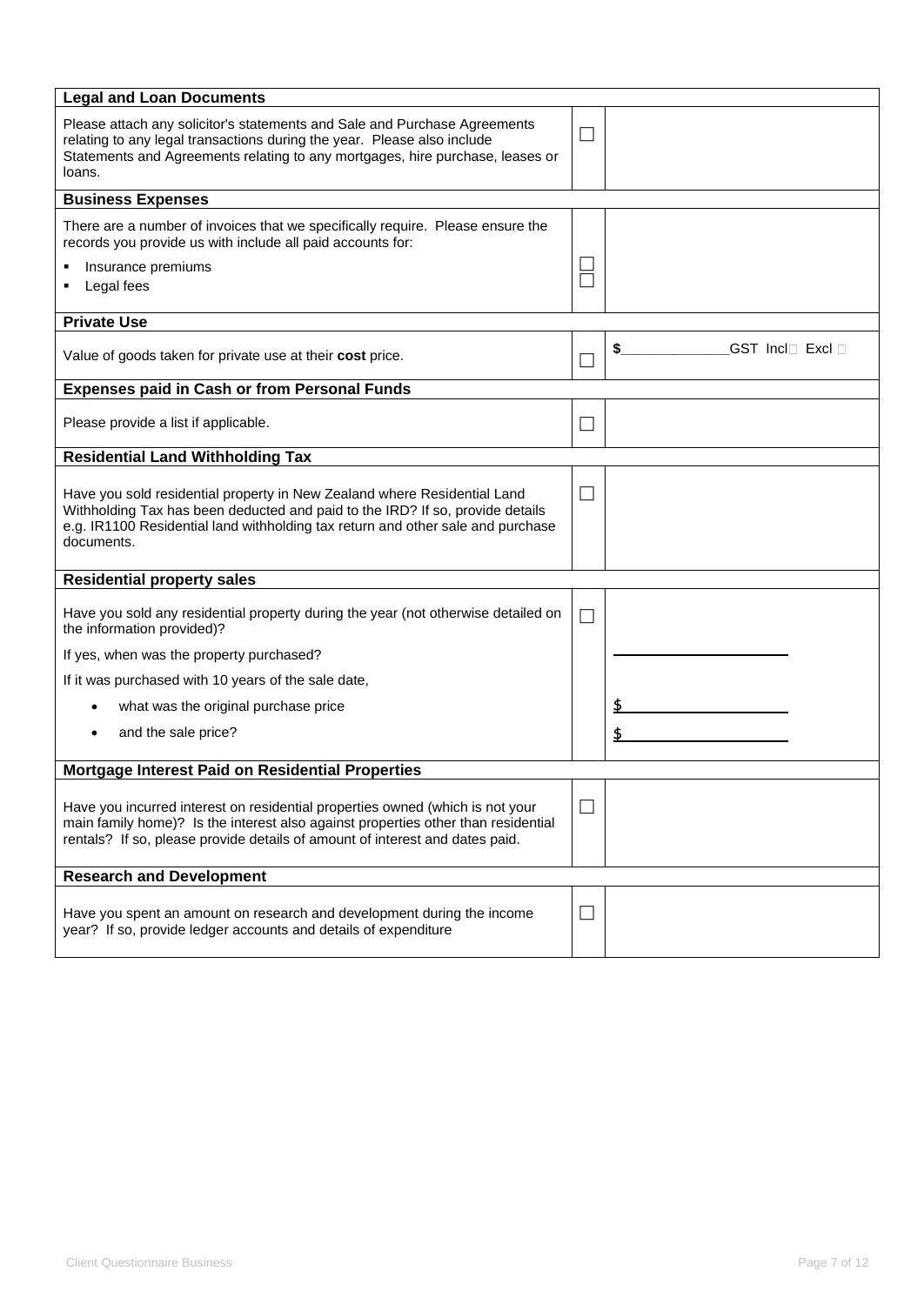| <b>Legal and Loan Documents</b>                                                                                                                                                                                                                            |        |                  |
|------------------------------------------------------------------------------------------------------------------------------------------------------------------------------------------------------------------------------------------------------------|--------|------------------|
| Please attach any solicitor's statements and Sale and Purchase Agreements<br>relating to any legal transactions during the year. Please also include<br>Statements and Agreements relating to any mortgages, hire purchase, leases or<br>loans.            |        |                  |
| <b>Business Expenses</b>                                                                                                                                                                                                                                   |        |                  |
| There are a number of invoices that we specifically require. Please ensure the<br>records you provide us with include all paid accounts for:                                                                                                               |        |                  |
| Insurance premiums<br>Legal fees                                                                                                                                                                                                                           |        |                  |
| <b>Private Use</b>                                                                                                                                                                                                                                         |        |                  |
| Value of goods taken for private use at their cost price.                                                                                                                                                                                                  |        | GST Incl□ Excl □ |
| <b>Expenses paid in Cash or from Personal Funds</b>                                                                                                                                                                                                        |        |                  |
| Please provide a list if applicable.                                                                                                                                                                                                                       |        |                  |
| <b>Residential Land Withholding Tax</b>                                                                                                                                                                                                                    |        |                  |
| Have you sold residential property in New Zealand where Residential Land<br>Withholding Tax has been deducted and paid to the IRD? If so, provide details<br>e.g. IR1100 Residential land withholding tax return and other sale and purchase<br>documents. | $\Box$ |                  |
| <b>Residential property sales</b>                                                                                                                                                                                                                          |        |                  |
| Have you sold any residential property during the year (not otherwise detailed on<br>the information provided)?                                                                                                                                            |        |                  |
| If yes, when was the property purchased?                                                                                                                                                                                                                   |        |                  |
| If it was purchased with 10 years of the sale date,                                                                                                                                                                                                        |        |                  |
| what was the original purchase price                                                                                                                                                                                                                       |        | \$               |
| and the sale price?                                                                                                                                                                                                                                        |        |                  |
| Mortgage Interest Paid on Residential Properties                                                                                                                                                                                                           |        |                  |
| Have you incurred interest on residential properties owned (which is not your<br>main family home)? Is the interest also against properties other than residential<br>rentals? If so, please provide details of amount of interest and dates paid.         |        |                  |
| <b>Research and Development</b>                                                                                                                                                                                                                            |        |                  |
| Have you spent an amount on research and development during the income<br>year? If so, provide ledger accounts and details of expenditure                                                                                                                  | ⊔      |                  |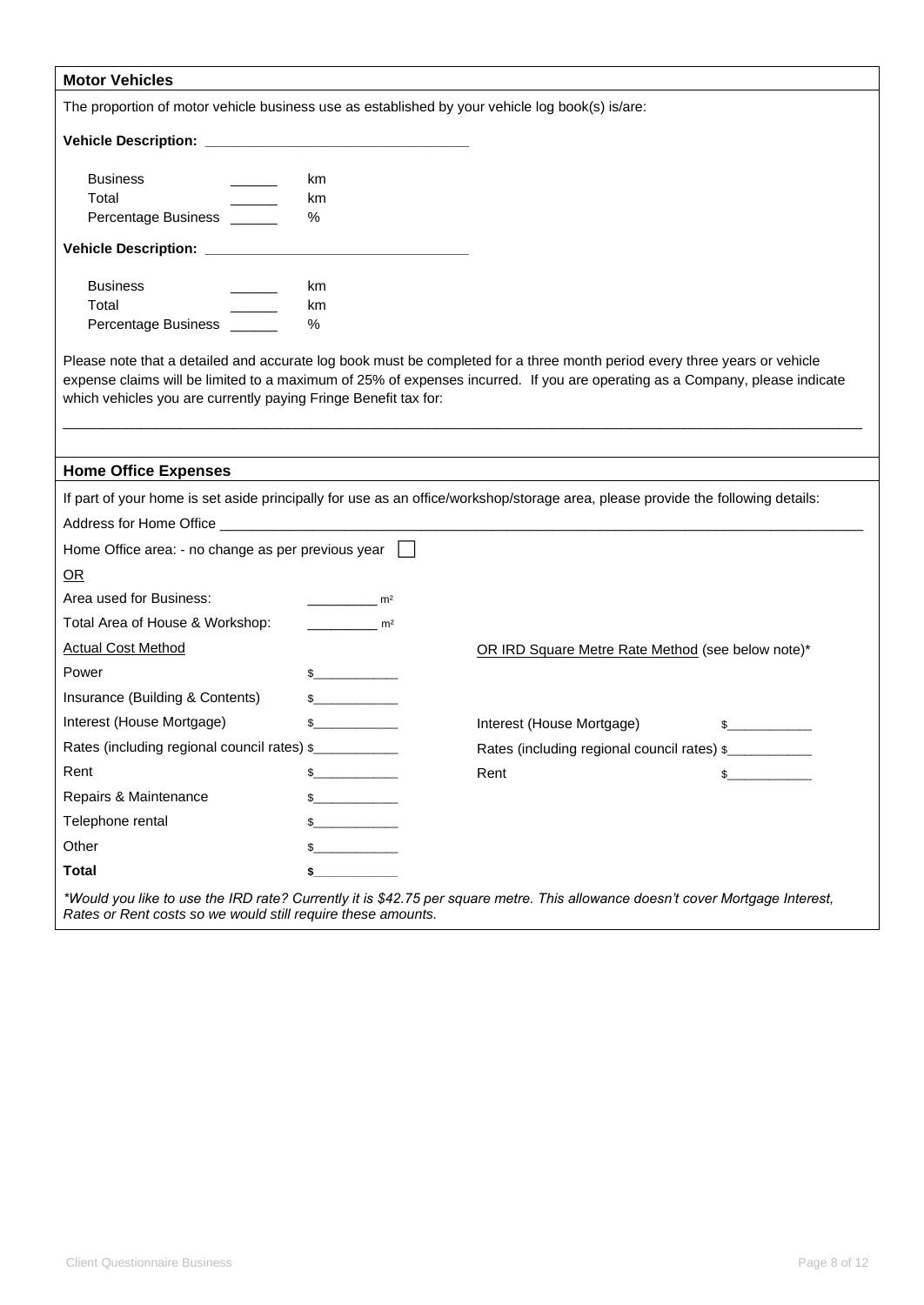| <b>Motor Vehicles</b>                                                                           |                       |                                                                                                                                                                                                                                                          |
|-------------------------------------------------------------------------------------------------|-----------------------|----------------------------------------------------------------------------------------------------------------------------------------------------------------------------------------------------------------------------------------------------------|
| The proportion of motor vehicle business use as established by your vehicle log book(s) is/are: |                       |                                                                                                                                                                                                                                                          |
|                                                                                                 |                       |                                                                                                                                                                                                                                                          |
|                                                                                                 |                       |                                                                                                                                                                                                                                                          |
| <b>Business</b>                                                                                 | km                    |                                                                                                                                                                                                                                                          |
| Total<br>Percentage Business ______                                                             | km<br>%               |                                                                                                                                                                                                                                                          |
|                                                                                                 |                       |                                                                                                                                                                                                                                                          |
|                                                                                                 |                       |                                                                                                                                                                                                                                                          |
| <b>Business</b>                                                                                 | km                    |                                                                                                                                                                                                                                                          |
| Total                                                                                           | km                    |                                                                                                                                                                                                                                                          |
| Percentage Business ______                                                                      | %                     |                                                                                                                                                                                                                                                          |
| which vehicles you are currently paying Fringe Benefit tax for:                                 |                       | Please note that a detailed and accurate log book must be completed for a three month period every three years or vehicle<br>expense claims will be limited to a maximum of 25% of expenses incurred. If you are operating as a Company, please indicate |
| <b>Home Office Expenses</b>                                                                     |                       |                                                                                                                                                                                                                                                          |
|                                                                                                 |                       | If part of your home is set aside principally for use as an office/workshop/storage area, please provide the following details:                                                                                                                          |
|                                                                                                 |                       |                                                                                                                                                                                                                                                          |
| Home Office area: - no change as per previous year                                              |                       |                                                                                                                                                                                                                                                          |
| OR                                                                                              |                       |                                                                                                                                                                                                                                                          |
| Area used for Business:                                                                         | $\sim$ m <sup>2</sup> |                                                                                                                                                                                                                                                          |
| Total Area of House & Workshop:                                                                 | m <sup>2</sup>        |                                                                                                                                                                                                                                                          |
| <b>Actual Cost Method</b>                                                                       |                       | OR IRD Square Metre Rate Method (see below note)*                                                                                                                                                                                                        |
| Power                                                                                           | $\frac{1}{2}$         |                                                                                                                                                                                                                                                          |
| Insurance (Building & Contents)                                                                 | $\mathbb{S}$          |                                                                                                                                                                                                                                                          |
| Interest (House Mortgage)                                                                       | $\mathbb{S}$          | Interest (House Mortgage)                                                                                                                                                                                                                                |
| Rates (including regional council rates) \$                                                     |                       | Rates (including regional council rates) \$                                                                                                                                                                                                              |
| Rent                                                                                            |                       | Rent<br>\$                                                                                                                                                                                                                                               |
| Repairs & Maintenance                                                                           |                       |                                                                                                                                                                                                                                                          |
| Telephone rental                                                                                |                       |                                                                                                                                                                                                                                                          |
| Other                                                                                           |                       |                                                                                                                                                                                                                                                          |
| <b>Total</b>                                                                                    |                       |                                                                                                                                                                                                                                                          |
| Rates or Rent costs so we would still require these amounts.                                    |                       | *Would you like to use the IRD rate? Currently it is \$42.75 per square metre. This allowance doesn't cover Mortgage Interest,                                                                                                                           |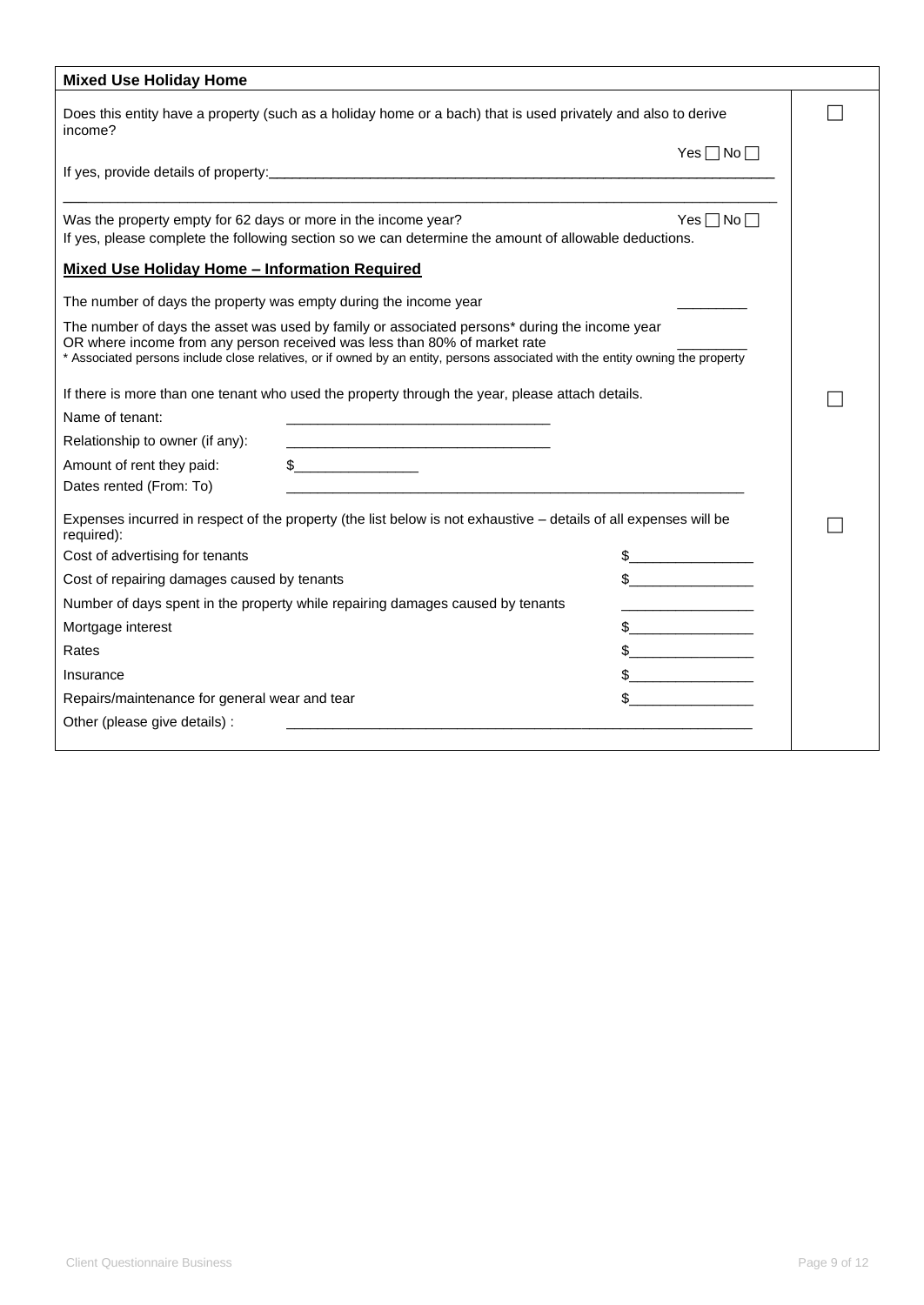| <b>Mixed Use Holiday Home</b>                                    |                                                                                                                                                                                                                                                                                                              |                      |  |
|------------------------------------------------------------------|--------------------------------------------------------------------------------------------------------------------------------------------------------------------------------------------------------------------------------------------------------------------------------------------------------------|----------------------|--|
| income?                                                          | Does this entity have a property (such as a holiday home or a bach) that is used privately and also to derive                                                                                                                                                                                                |                      |  |
|                                                                  |                                                                                                                                                                                                                                                                                                              | Yes $\Box$ No $\Box$ |  |
| Was the property empty for 62 days or more in the income year?   | If yes, please complete the following section so we can determine the amount of allowable deductions.                                                                                                                                                                                                        | Yes $\Box$ No $\Box$ |  |
| <b>Mixed Use Holiday Home - Information Required</b>             |                                                                                                                                                                                                                                                                                                              |                      |  |
| The number of days the property was empty during the income year |                                                                                                                                                                                                                                                                                                              |                      |  |
|                                                                  | The number of days the asset was used by family or associated persons* during the income year<br>OR where income from any person received was less than 80% of market rate<br>* Associated persons include close relatives, or if owned by an entity, persons associated with the entity owning the property |                      |  |
|                                                                  | If there is more than one tenant who used the property through the year, please attach details.                                                                                                                                                                                                              |                      |  |
| Name of tenant:                                                  | the company of the company of the company of the company of the company of                                                                                                                                                                                                                                   |                      |  |
| Relationship to owner (if any):                                  |                                                                                                                                                                                                                                                                                                              |                      |  |
| Amount of rent they paid:                                        | $\frac{1}{2}$                                                                                                                                                                                                                                                                                                |                      |  |
| Dates rented (From: To)                                          |                                                                                                                                                                                                                                                                                                              |                      |  |
| required):                                                       | Expenses incurred in respect of the property (the list below is not exhaustive - details of all expenses will be                                                                                                                                                                                             |                      |  |
| Cost of advertising for tenants                                  |                                                                                                                                                                                                                                                                                                              |                      |  |
| Cost of repairing damages caused by tenants                      |                                                                                                                                                                                                                                                                                                              | $\frac{1}{2}$        |  |
|                                                                  | Number of days spent in the property while repairing damages caused by tenants                                                                                                                                                                                                                               |                      |  |
| Mortgage interest                                                |                                                                                                                                                                                                                                                                                                              | $\frac{1}{2}$        |  |
| Rates                                                            |                                                                                                                                                                                                                                                                                                              | $\frac{1}{2}$        |  |
| Insurance                                                        |                                                                                                                                                                                                                                                                                                              |                      |  |
| Repairs/maintenance for general wear and tear                    |                                                                                                                                                                                                                                                                                                              |                      |  |
| Other (please give details) :                                    |                                                                                                                                                                                                                                                                                                              |                      |  |
|                                                                  |                                                                                                                                                                                                                                                                                                              |                      |  |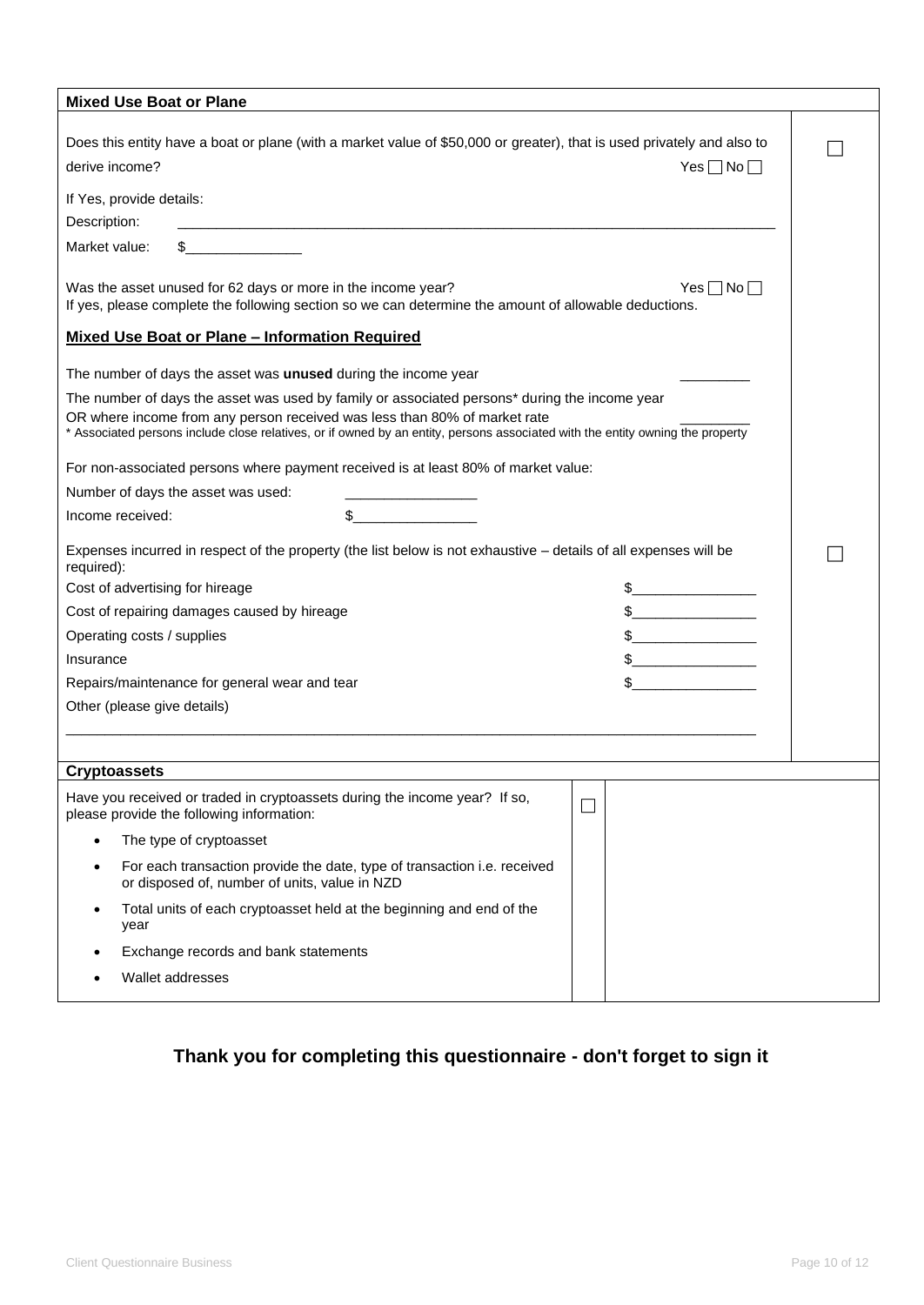| <b>Mixed Use Boat or Plane</b>                                                                                                                                                                                                                                                                               |        |               |                    |
|--------------------------------------------------------------------------------------------------------------------------------------------------------------------------------------------------------------------------------------------------------------------------------------------------------------|--------|---------------|--------------------|
| Does this entity have a boat or plane (with a market value of \$50,000 or greater), that is used privately and also to<br>derive income?                                                                                                                                                                     |        |               | $Yes \Box No \Box$ |
| If Yes, provide details:                                                                                                                                                                                                                                                                                     |        |               |                    |
| Description:                                                                                                                                                                                                                                                                                                 |        |               |                    |
| $\sim$<br>Market value:                                                                                                                                                                                                                                                                                      |        |               |                    |
| Was the asset unused for 62 days or more in the income year?<br>If yes, please complete the following section so we can determine the amount of allowable deductions.                                                                                                                                        |        |               | $Yes \Box No \Box$ |
| <b>Mixed Use Boat or Plane - Information Required</b>                                                                                                                                                                                                                                                        |        |               |                    |
| The number of days the asset was unused during the income year                                                                                                                                                                                                                                               |        |               |                    |
| The number of days the asset was used by family or associated persons* during the income year<br>OR where income from any person received was less than 80% of market rate<br>* Associated persons include close relatives, or if owned by an entity, persons associated with the entity owning the property |        |               |                    |
| For non-associated persons where payment received is at least 80% of market value:                                                                                                                                                                                                                           |        |               |                    |
| Number of days the asset was used:                                                                                                                                                                                                                                                                           |        |               |                    |
| Income received:                                                                                                                                                                                                                                                                                             | $\sim$ |               |                    |
| Expenses incurred in respect of the property (the list below is not exhaustive - details of all expenses will be<br>required):                                                                                                                                                                               |        |               |                    |
| Cost of advertising for hireage                                                                                                                                                                                                                                                                              |        |               |                    |
| Cost of repairing damages caused by hireage                                                                                                                                                                                                                                                                  |        | $\frac{1}{2}$ |                    |
| Operating costs / supplies                                                                                                                                                                                                                                                                                   |        |               |                    |
| Insurance                                                                                                                                                                                                                                                                                                    |        | $\frac{1}{2}$ |                    |
| Repairs/maintenance for general wear and tear                                                                                                                                                                                                                                                                |        | \$            |                    |
| Other (please give details)                                                                                                                                                                                                                                                                                  |        |               |                    |
|                                                                                                                                                                                                                                                                                                              |        |               |                    |
| <b>Cryptoassets</b>                                                                                                                                                                                                                                                                                          |        |               |                    |
| Have you received or traded in cryptoassets during the income year? If so,<br>please provide the following information:                                                                                                                                                                                      |        | $\Box$        |                    |
| The type of cryptoasset<br>$\bullet$                                                                                                                                                                                                                                                                         |        |               |                    |
| For each transaction provide the date, type of transaction <i>i.e.</i> received<br>٠<br>or disposed of, number of units, value in NZD                                                                                                                                                                        |        |               |                    |
| Total units of each cryptoasset held at the beginning and end of the<br>$\bullet$<br>year                                                                                                                                                                                                                    |        |               |                    |
| Exchange records and bank statements                                                                                                                                                                                                                                                                         |        |               |                    |
| Wallet addresses                                                                                                                                                                                                                                                                                             |        |               |                    |
|                                                                                                                                                                                                                                                                                                              |        |               |                    |

# **Thank you for completing this questionnaire - don't forget to sign it**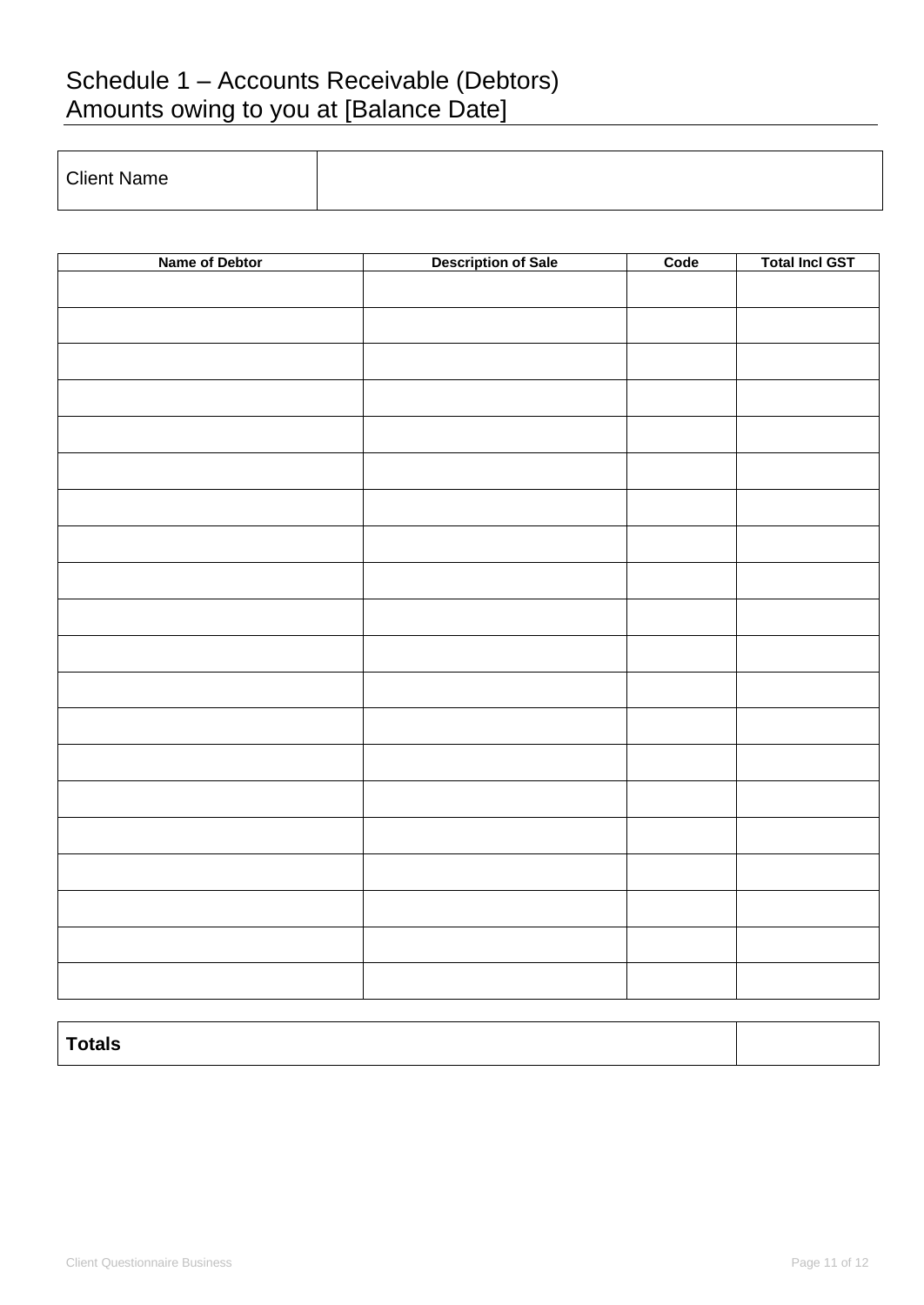# Schedule 1 – Accounts Receivable (Debtors) Amounts owing to you at [Balance Date]

| <b>Client Name</b> |  |
|--------------------|--|

| Name of Debtor | <b>Description of Sale</b> | Code | <b>Total Incl GST</b> |
|----------------|----------------------------|------|-----------------------|
|                |                            |      |                       |
|                |                            |      |                       |
|                |                            |      |                       |
|                |                            |      |                       |
|                |                            |      |                       |
|                |                            |      |                       |
|                |                            |      |                       |
|                |                            |      |                       |
|                |                            |      |                       |
|                |                            |      |                       |
|                |                            |      |                       |
|                |                            |      |                       |
|                |                            |      |                       |
|                |                            |      |                       |
|                |                            |      |                       |
|                |                            |      |                       |
|                |                            |      |                       |
|                |                            |      |                       |
|                |                            |      |                       |
|                |                            |      |                       |
|                |                            |      |                       |

| __<br>-----<br>rais |  |
|---------------------|--|
|                     |  |